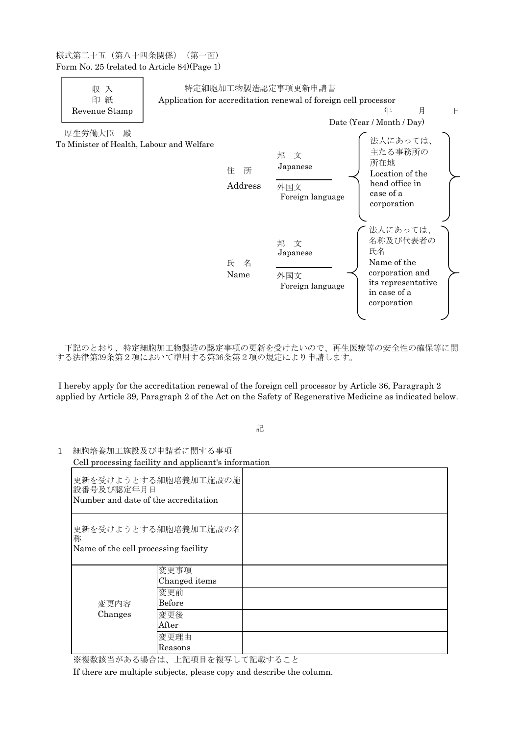様式第二十五(第八十四条関係)(第一面) Form No. 25 (related to Article 84)(Page 1)



下記のとおり、特定細胞加工物製造の認定事項の更新を受けたいので、再生医療等の安全性の確保等に関 する法律第39条第2項において準用する第36条第2項の規定により申請します。

I hereby apply for the accreditation renewal of the foreign cell processor by Article 36, Paragraph 2 applied by Article 39, Paragraph 2 of the Act on the Safety of Regenerative Medicine as indicated below.

## 記

更新を受けようとする細胞培養加工施設の施 設番号及び認定年月日 Number and date of the accreditation 更新を受けようとする細胞培養加工施設の名 称 Name of the cell processing facility 変更内容 Changes 変更事項 Changed items 変更前 Before 変更後 After 変更理由 Reasons

1 細胞培養加工施設及び申請者に関する事項 Cell processing facility and applicant's information

※複数該当がある場合は、上記項目を複写して記載すること

If there are multiple subjects, please copy and describe the column.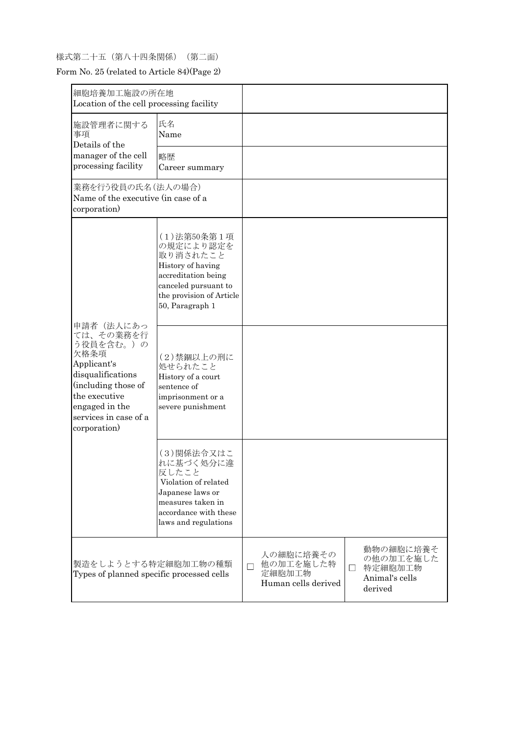## 様式第二十五(第八十四条関係)(第二面)

Form No. 25 (related to Article 84)(Page 2)

| 細胞培養加工施設の所在地<br>Location of the cell processing facility                                                                                                                           |                                                                                                                                                          |   |                                                         |        |                                                                |
|------------------------------------------------------------------------------------------------------------------------------------------------------------------------------------|----------------------------------------------------------------------------------------------------------------------------------------------------------|---|---------------------------------------------------------|--------|----------------------------------------------------------------|
| 施設管理者に関する<br>事項<br>Details of the<br>manager of the cell<br>processing facility                                                                                                    | 氏名<br>Name                                                                                                                                               |   |                                                         |        |                                                                |
|                                                                                                                                                                                    | 略歴<br>Career summary                                                                                                                                     |   |                                                         |        |                                                                |
| 業務を行う役員の氏名 (法人の場合)<br>Name of the executive (in case of a<br>corporation)                                                                                                          |                                                                                                                                                          |   |                                                         |        |                                                                |
| 申請者(法人にあっ<br>ては、その業務を行<br>う役員を含む。)の<br>欠格条項<br>Applicant's<br>disqualifications<br>(including those of<br>the executive<br>engaged in the<br>services in case of a<br>corporation) | (1) 法第50条第1項<br>の規定により認定を<br>取り消されたこと<br>History of having<br>accreditation being<br>canceled pursuant to<br>the provision of Article<br>50, Paragraph 1 |   |                                                         |        |                                                                |
|                                                                                                                                                                                    | (2)禁錮以上の刑に<br>処せられたこと<br>History of a court<br>sentence of<br>imprisonment or a<br>severe punishment                                                     |   |                                                         |        |                                                                |
|                                                                                                                                                                                    | (3)関係法令又はこ<br>れに基づく処分に違<br>反したこと<br>Violation of related<br>Japanese laws or<br>measures taken in<br>accordance with these<br>laws and regulations       |   |                                                         |        |                                                                |
| 製造をしようとする特定細胞加工物の種類<br>Types of planned specific processed cells                                                                                                                   |                                                                                                                                                          | П | 人の細胞に培養その<br>他の加工を施した特<br>定細胞加工物<br>Human cells derived | $\Box$ | 動物の細胞に培養そ<br>の他の加工を施した<br>特定細胞加工物<br>Animal's cells<br>derived |